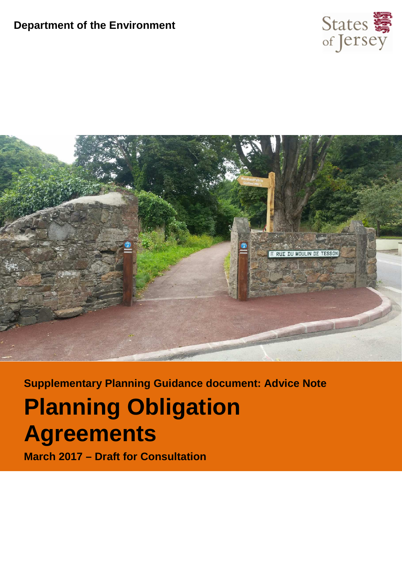#### **Department of the Environment**





**Supplementary Planning Guidance document: Advice Note**

## **Planning Obligation Agreements**

**March 2017 – Draft for Consultation**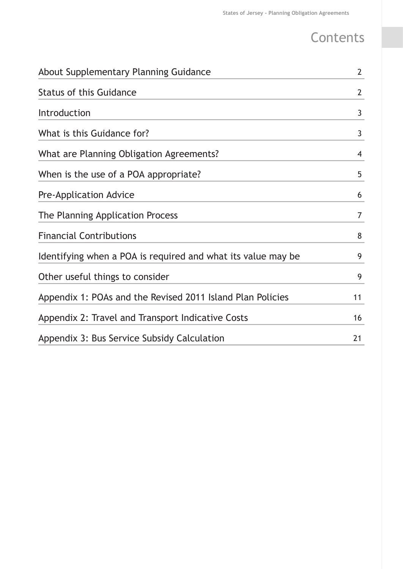## **Contents**

| About Supplementary Planning Guidance                        | $\overline{2}$ |
|--------------------------------------------------------------|----------------|
| <b>Status of this Guidance</b>                               | $\overline{2}$ |
| Introduction                                                 | 3              |
| What is this Guidance for?                                   | 3              |
| What are Planning Obligation Agreements?                     | $\overline{4}$ |
| When is the use of a POA appropriate?                        | 5              |
| Pre-Application Advice                                       | 6              |
| The Planning Application Process                             | $\overline{7}$ |
| <b>Financial Contributions</b>                               | 8              |
| Identifying when a POA is required and what its value may be | 9              |
| Other useful things to consider                              | 9              |
| Appendix 1: POAs and the Revised 2011 Island Plan Policies   | 11             |
| Appendix 2: Travel and Transport Indicative Costs            | 16             |
| Appendix 3: Bus Service Subsidy Calculation                  | 21             |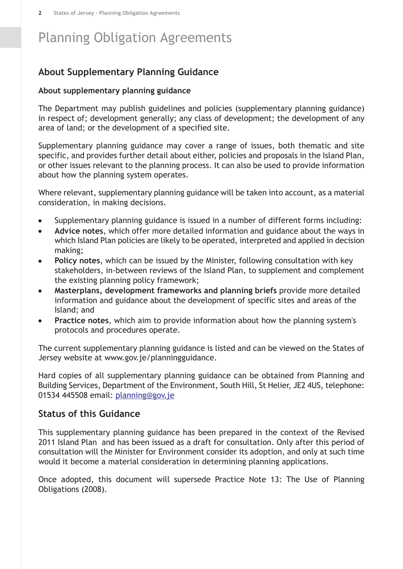#### <span id="page-3-0"></span>**About Supplementary Planning Guidance**

#### **About supplementary planning guidance**

The Department may publish guidelines and policies (supplementary planning guidance) in respect of; development generally; any class of development; the development of any area of land; or the development of a specified site.

Supplementary planning guidance may cover a range of issues, both thematic and site specific, and provides further detail about either, policies and proposals in the Island Plan, or other issues relevant to the planning process. It can also be used to provide information about how the planning system operates.

Where relevant, supplementary planning guidance will be taken into account, as a material consideration, in making decisions.

- Supplementary planning guidance is issued in a number of different forms including:  $\bullet$
- **Advice notes**, which offer more detailed information and guidance about the ways in  $\bullet$ which Island Plan policies are likely to be operated, interpreted and applied in decision making;
- **Policy notes**, which can be issued by the Minister, following consultation with key  $\bullet$ stakeholders, in-between reviews of the Island Plan, to supplement and complement the existing planning policy framework;
- **Masterplans, development frameworks and planning briefs** provide more detailed  $\bullet$ information and guidance about the development of specific sites and areas of the Island; and
- **Practice notes**, which aim to provide information about how the planning system's protocols and procedures operate.

The current supplementary planning guidance is listed and can be viewed on the States of Jersey website at www.gov.je/planningguidance.

<span id="page-3-1"></span>Hard copies of all supplementary planning guidance can be obtained from Planning and Building Services, Department of the Environment, South Hill, St Helier, JE2 4US, telephone: 01534 445508 email: [planning@gov.je](mailto:planning@gov.je)

#### **Status of this Guidance**

This supplementary planning guidance has been prepared in the context of the Revised 2011 Island Plan and has been issued as a draft for consultation. Only after this period of consultation will the Minister for Environment consider its adoption, and only at such time would it become a material consideration in determining planning applications.

Once adopted, this document will supersede Practice Note 13: The Use of Planning Obligations (2008).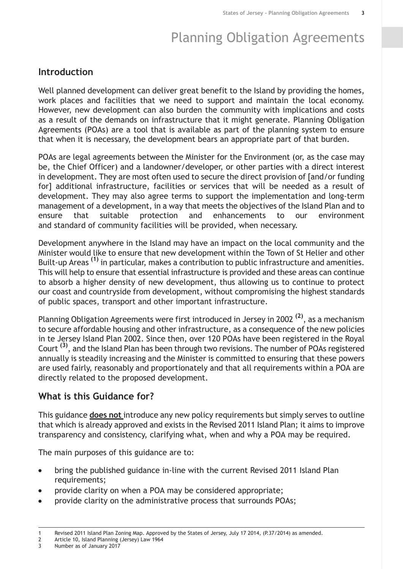#### <span id="page-4-0"></span>**Introduction**

Well planned development can deliver great benefit to the Island by providing the homes, work places and facilities that we need to support and maintain the local economy. However, new development can also burden the community with implications and costs as a result of the demands on infrastructure that it might generate. Planning Obligation Agreements (POAs) are a tool that is available as part of the planning system to ensure that when it is necessary, the development bears an appropriate part of that burden.

POAs are legal agreements between the Minister for the Environment (or, as the case may be, the Chief Officer) and a landowner/developer, or other parties with a direct interest in development. They are most often used to secure the direct provision of [and/or funding for] additional infrastructure, facilities or services that will be needed as a result of development. They may also agree terms to support the implementation and long-term management of a development, in a way that meets the objectives of the Island Plan and to ensure that suitable protection and enhancements to our environment and standard of community facilities will be provided, when necessary.

Development anywhere in the Island may have an impact on the local community and the Minister would like to ensure that new development within the Town of St Helier and other Built-up Areas **(1)** in particular, makes a contribution to public infrastructure and amenities. This will help to ensure that essential infrastructure is provided and these areas can continue to absorb a higher density of new development, thus allowing us to continue to protect our coast and countryside from development, without compromising the highest standards of public spaces, transport and other important infrastructure.

<span id="page-4-1"></span>Planning Obligation Agreements were first introduced in Jersey in 2002 **(2)** , as a mechanism to secure affordable housing and other infrastructure, as a consequence of the new policies in te Jersey Island Plan 2002. Since then, over 120 POAs have been registered in the Royal Court **(3)** , and the Island Plan has been through two revisions. The number of POAs registered annually is steadily increasing and the Minister is committed to ensuring that these powers are used fairly, reasonably and proportionately and that all requirements within a POA are directly related to the proposed development.

#### **What is this Guidance for?**

This guidance **does not** introduce any new policy requirements but simply serves to outline that which is already approved and exists in the Revised 2011 Island Plan; it aims to improve transparency and consistency, clarifying what, when and why a POA may be required.

The main purposes of this guidance are to:

- bring the published guidance in-line with the current Revised 2011 Island Plan  $\bullet$ requirements;
- provide clarity on when a POA may be considered appropriate;
- provide clarity on the administrative process that surrounds POAs;

2 Article 10, Island Planning (Jersey) Law 1964<br>3 Number as of January 2017

<sup>3</sup> Number as of January 2017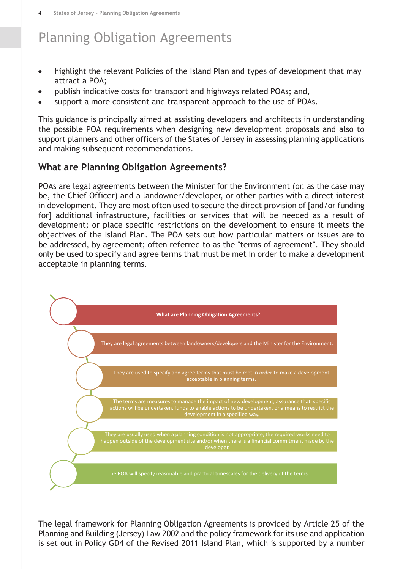- highlight the relevant Policies of the Island Plan and types of development that may attract a POA;
- publish indicative costs for transport and highways related POAs; and,
- support a more consistent and transparent approach to the use of POAs.

This guidance is principally aimed at assisting developers and architects in understanding the possible POA requirements when designing new development proposals and also to support planners and other officers of the States of Jersey in assessing planning applications and making subsequent recommendations.

#### <span id="page-5-0"></span>**What are Planning Obligation Agreements?**

POAs are legal agreements between the Minister for the Environment (or, as the case may be, the Chief Officer) and a landowner/developer, or other parties with a direct interest in development. They are most often used to secure the direct provision of [and/or funding for] additional infrastructure, facilities or services that will be needed as a result of development; or place specific restrictions on the development to ensure it meets the objectives of the Island Plan. The POA sets out how particular matters or issues are to be addressed, by agreement; often referred to as the "terms of agreement". They should only be used to specify and agree terms that must be met in order to make a development acceptable in planning terms.



The legal framework for Planning Obligation Agreements is provided by Article 25 of the Planning and Building (Jersey) Law 2002 and the policy framework for its use and application is set out in Policy GD4 of the Revised 2011 Island Plan, which is supported by a number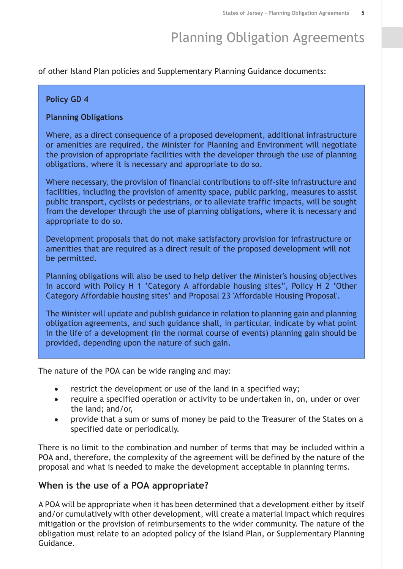of other Island Plan policies and Supplementary Planning Guidance documents:

#### **Policy GD 4**

#### **Planning Obligations**

Where, as a direct consequence of a proposed development, additional infrastructure or amenities are required, the Minister for Planning and Environment will negotiate the provision of appropriate facilities with the developer through the use of planning obligations, where it is necessary and appropriate to do so.

Where necessary, the provision of financial contributions to off-site infrastructure and facilities, including the provision of amenity space, public parking, measures to assist public transport, cyclists or pedestrians, or to alleviate traffic impacts, will be sought from the developer through the use of planning obligations, where it is necessary and appropriate to do so.

Development proposals that do not make satisfactory provision for infrastructure or amenities that are required as a direct result of the proposed development will not be permitted.

Planning obligations will also be used to help deliver the Minister's housing objectives in accord with Policy H 1 'Category A affordable housing sites'', Policy H 2 'Other Category Affordable housing sites' and Proposal 23 'Affordable Housing Proposal'.

The Minister will update and publish guidance in relation to planning gain and planning obligation agreements, and such guidance shall, in particular, indicate by what point in the life of a development (in the normal course of events) planning gain should be provided, depending upon the nature of such gain.

The nature of the POA can be wide ranging and may:

- restrict the development or use of the land in a specified way;
- require a specified operation or activity to be undertaken in, on, under or over  $\blacksquare$ the land; and/or,
- provide that a sum or sums of money be paid to the Treasurer of the States on a specified date or periodically.

<span id="page-6-0"></span>There is no limit to the combination and number of terms that may be included within a POA and, therefore, the complexity of the agreement will be defined by the nature of the proposal and what is needed to make the development acceptable in planning terms.

#### **When is the use of a POA appropriate?**

A POA will be appropriate when it has been determined that a development either by itself and/or cumulatively with other development, will create a material impact which requires mitigation or the provision of reimbursements to the wider community. The nature of the obligation must relate to an adopted policy of the Island Plan, or Supplementary Planning Guidance.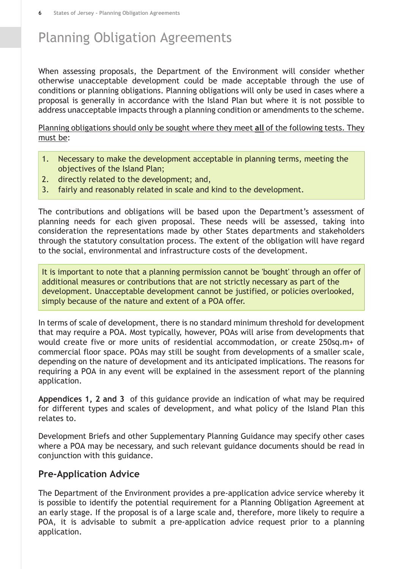When assessing proposals, the Department of the Environment will consider whether otherwise unacceptable development could be made acceptable through the use of conditions or planning obligations. Planning obligations will only be used in cases where a proposal is generally in accordance with the Island Plan but where it is not possible to address unacceptable impacts through a planning condition or amendments to the scheme.

Planning obligations should only be sought where they meet **all** of the following tests. They must be:

- 1. Necessary to make the development acceptable in planning terms, meeting the objectives of the Island Plan;
- 2. directly related to the development; and,
- 3. fairly and reasonably related in scale and kind to the development.

The contributions and obligations will be based upon the Department's assessment of planning needs for each given proposal. These needs will be assessed, taking into consideration the representations made by other States departments and stakeholders through the statutory consultation process. The extent of the obligation will have regard to the social, environmental and infrastructure costs of the development.

It is important to note that a planning permission cannot be 'bought' through an offer of additional measures or contributions that are not strictly necessary as part of the development. Unacceptable development cannot be justified, or policies overlooked, simply because of the nature and extent of a POA offer.

In terms of scale of development, there is no standard minimum threshold for development that may require a POA. Most typically, however, POAs will arise from developments that would create five or more units of residential accommodation, or create 250sq.m+ of commercial floor space. POAs may still be sought from developments of a smaller scale, depending on the nature of development and its anticipated implications. The reasons for requiring a POA in any event will be explained in the assessment report of the planning application.

**Appendices 1, 2 and 3** of this guidance provide an indication of what may be required for different types and scales of development, and what policy of the Island Plan this relates to.

<span id="page-7-0"></span>Development Briefs and other Supplementary Planning Guidance may specify other cases where a POA may be necessary, and such relevant guidance documents should be read in conjunction with this guidance.

#### **Pre-Application Advice**

The Department of the Environment provides a pre-application advice service whereby it is possible to identify the potential requirement for a Planning Obligation Agreement at an early stage. If the proposal is of a large scale and, therefore, more likely to require a POA, it is advisable to submit a pre-application advice request prior to a planning application.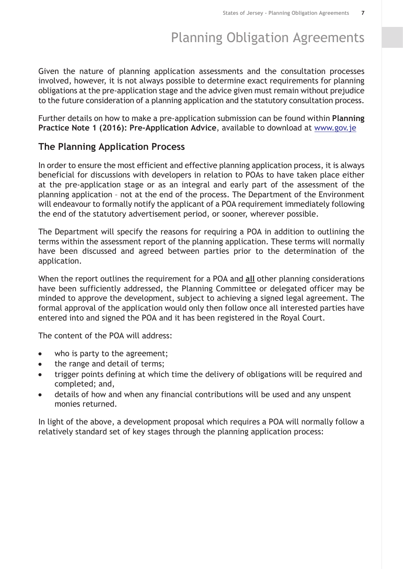Given the nature of planning application assessments and the consultation processes involved, however, it is not always possible to determine exact requirements for planning obligations at the pre-application stage and the advice given must remain without prejudice to the future consideration of a planning application and the statutory consultation process.

<span id="page-8-0"></span>Further details on how to make a pre-application submission can be found within **Planning Practice Note 1 (2016): Pre-Application Advice**, available to download at [www.gov.je](http://www.gov.je)

#### **The Planning Application Process**

In order to ensure the most efficient and effective planning application process, it is always beneficial for discussions with developers in relation to POAs to have taken place either at the pre-application stage or as an integral and early part of the assessment of the planning application – not at the end of the process. The Department of the Environment will endeavour to formally notify the applicant of a POA requirement immediately following the end of the statutory advertisement period, or sooner, wherever possible.

The Department will specify the reasons for requiring a POA in addition to outlining the terms within the assessment report of the planning application. These terms will normally have been discussed and agreed between parties prior to the determination of the application.

When the report outlines the requirement for a POA and **all** other planning considerations have been sufficiently addressed, the Planning Committee or delegated officer may be minded to approve the development, subject to achieving a signed legal agreement. The formal approval of the application would only then follow once all interested parties have entered into and signed the POA and it has been registered in the Royal Court.

The content of the POA will address:

- who is party to the agreement;  $\bullet$
- the range and detail of terms;  $\bullet$
- trigger points defining at which time the delivery of obligations will be required and  $\bullet$ completed; and,
- details of how and when any financial contributions will be used and any unspent  $\bullet$ monies returned.

In light of the above, a development proposal which requires a POA will normally follow a relatively standard set of key stages through the planning application process: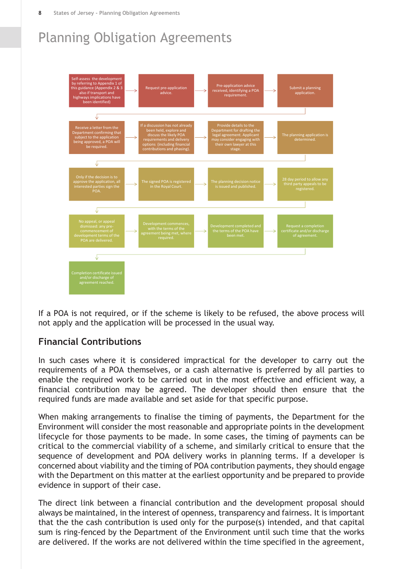

<span id="page-9-0"></span>If a POA is not required, or if the scheme is likely to be refused, the above process will not apply and the application will be processed in the usual way.

#### **Financial Contributions**

In such cases where it is considered impractical for the developer to carry out the requirements of a POA themselves, or a cash alternative is preferred by all parties to enable the required work to be carried out in the most effective and efficient way, a financial contribution may be agreed. The developer should then ensure that the required funds are made available and set aside for that specific purpose.

When making arrangements to finalise the timing of payments, the Department for the Environment will consider the most reasonable and appropriate points in the development lifecycle for those payments to be made. In some cases, the timing of payments can be critical to the commercial viability of a scheme, and similarly critical to ensure that the sequence of development and POA delivery works in planning terms. If a developer is concerned about viability and the timing of POA contribution payments, they should engage with the Department on this matter at the earliest opportunity and be prepared to provide evidence in support of their case.

The direct link between a financial contribution and the development proposal should always be maintained, in the interest of openness, transparency and fairness. It is important that the the cash contribution is used only for the purpose(s) intended, and that capital sum is ring-fenced by the Department of the Environment until such time that the works are delivered. If the works are not delivered within the time specified in the agreement,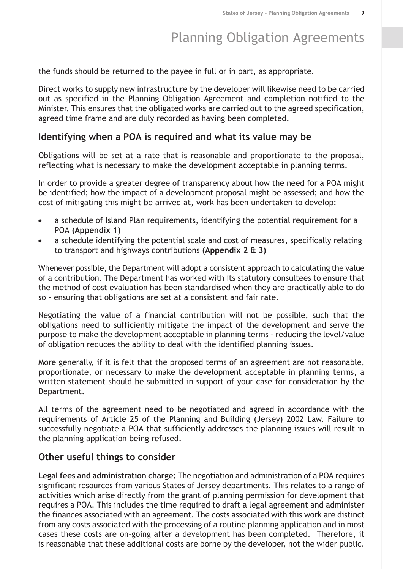the funds should be returned to the payee in full or in part, as appropriate.

Direct works to supply new infrastructure by the developer will likewise need to be carried out as specified in the Planning Obligation Agreement and completion notified to the Minister. This ensures that the obligated works are carried out to the agreed specification, agreed time frame and are duly recorded as having been completed.

#### <span id="page-10-0"></span>**Identifying when a POA is required and what its value may be**

Obligations will be set at a rate that is reasonable and proportionate to the proposal, reflecting what is necessary to make the development acceptable in planning terms.

In order to provide a greater degree of transparency about how the need for a POA might be identified; how the impact of a development proposal might be assessed; and how the cost of mitigating this might be arrived at, work has been undertaken to develop:

- a schedule of Island Plan requirements, identifying the potential requirement for a POA **(Appendix 1)**
- a schedule identifying the potential scale and cost of measures, specifically relating to transport and highways contributions **(Appendix 2 & 3)**

Whenever possible, the Department will adopt a consistent approach to calculating the value of a contribution. The Department has worked with its statutory consultees to ensure that the method of cost evaluation has been standardised when they are practically able to do so - ensuring that obligations are set at a consistent and fair rate.

Negotiating the value of a financial contribution will not be possible, such that the obligations need to sufficiently mitigate the impact of the development and serve the purpose to make the development acceptable in planning terms - reducing the level/value of obligation reduces the ability to deal with the identified planning issues.

More generally, if it is felt that the proposed terms of an agreement are not reasonable, proportionate, or necessary to make the development acceptable in planning terms, a written statement should be submitted in support of your case for consideration by the Department.

<span id="page-10-1"></span>All terms of the agreement need to be negotiated and agreed in accordance with the requirements of Article 25 of the Planning and Building (Jersey) 2002 Law. Failure to successfully negotiate a POA that sufficiently addresses the planning issues will result in the planning application being refused.

#### **Other useful things to consider**

**Legal fees and administration charge:** The negotiation and administration of a POA requires significant resources from various States of Jersey departments. This relates to a range of activities which arise directly from the grant of planning permission for development that requires a POA. This includes the time required to draft a legal agreement and administer the finances associated with an agreement. The costs associated with this work are distinct from any costs associated with the processing of a routine planning application and in most cases these costs are on-going after a development has been completed. Therefore, it is reasonable that these additional costs are borne by the developer, not the wider public.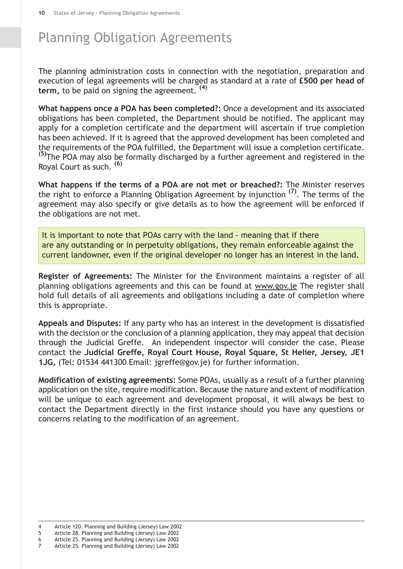The planning administration costs in connection with the negotiation, preparation and execution of legal agreements will be charged as standard at a rate of **£500 per head of term,** to be paid on signing the agreement. **(4)**

**What happens once a POA has been completed?:** Once a development and its associated obligations has been completed, the Department should be notified. The applicant may apply for a completion certificate and the department will ascertain if true completion has been achieved. If it is agreed that the approved development has been completed and the requirements of the POA fulfilled, the Department will issue a completion certificate. **(5)**The POA may also be formally discharged by a further agreement and registered in the Royal Court as such. **(6)**

**What happens if the terms of a POA are not met or breached?:** The Minister reserves the right to enforce a Planning Obligation Agreement by injunction **(7)** . The terms of the agreement may also specify or give details as to how the agreement will be enforced if the obligations are not met.

It is important to note that POAs carry with the land - meaning that if there are any outstanding or in perpetuity obligations, they remain enforceable against the current landowner, even if the original developer no longer has an interest in the land.

**Register of Agreements:** The Minister for the Environment maintains a register of all planning obligations agreements and this can be found at www.gov.je The register shall hold full details of all agreements and obligations including a date of completion where this is appropriate.

**Appeals and Disputes:** If any party who has an interest in the development is dissatisfied with the decision or the conclusion of a planning application, they may appeal that decision through the Judicial Greffe. An independent inspector will consider the case. Please contact the **Judicial Greffe, Royal Court House, Royal Square, St Helier, Jersey, JE1 1JG,** (Tel: 01534 441300 Email: jgreffe@gov.je) for further information.

**Modification of existing agreements:** Some POAs, usually as a result of a further planning application on the site, require modification. Because the nature and extent of modification will be unique to each agreement and development proposal, it will always be best to contact the Department directly in the first instance should you have any questions or concerns relating to the modification of an agreement.

- 4 Article 120. Planning and Building (Jersey) Law 2002
- 5 Article 28. Planning and Building (Jersey) Law 2002
- 6 Article 25. Planning and Building (Jersey) Law 2002 7 Article 25. Planning and Building (Jersey) Law 2002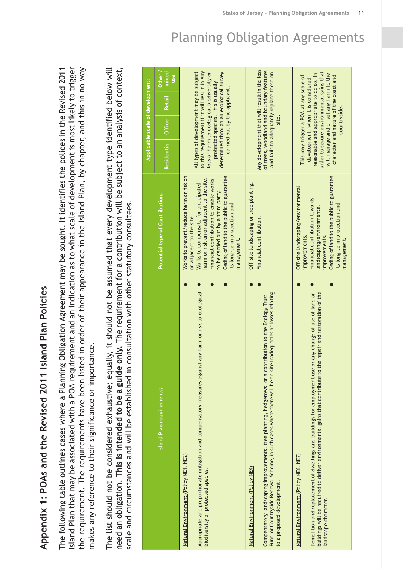<span id="page-12-0"></span>**Appendix 1: POAs and the Revised 2011 Island Plan** Appendix 1: POAs and the Revised 2011 Island Plan Policies

Island Plan that may be associated with a POA requirement and an indication as to what scale of development is most likely to trigger POA requirement and an indication as to what scale of development is most likely to trigger the requirement. The requirements have been listed in order of their appearance in the Island Plan, by chapter, and this in no way the requirement. The requirements have been listed in order of their appearance in the Island Plan, by chapter, and this in no way Revised 2011 Planning Obligation Agreement may be sought. It identifies the polices in the makes any reference to their significance or importance. makes any reference to their significance or importance. aThe following table outlines cases where Island Plan that may be associated with

The list should not be considered exhaustive; equally, it should not be assumed that every development type identified below will The list should not be considered exhaustive; equally, it should not be assumed that every development type identified below will contribution will be subject to an analysis of context, scale and circumstances and will be established in consultation with other statutory consultees. scale and circumstances and will be established in consultation with other statutory consultees. ത **guide only.** The requirement for **a**need an obligation. **This is intended to be**

|                                                                                                                                                                                                                                                                                               |                                                                                                                                                                                                                                                                                                                                     |                                                                                                                                                                                                                  | Applicable scale of development:                                    |               |                                    |
|-----------------------------------------------------------------------------------------------------------------------------------------------------------------------------------------------------------------------------------------------------------------------------------------------|-------------------------------------------------------------------------------------------------------------------------------------------------------------------------------------------------------------------------------------------------------------------------------------------------------------------------------------|------------------------------------------------------------------------------------------------------------------------------------------------------------------------------------------------------------------|---------------------------------------------------------------------|---------------|------------------------------------|
| Island Plan requirements:                                                                                                                                                                                                                                                                     | Potential type of Contribution:                                                                                                                                                                                                                                                                                                     | <b>Residential</b>                                                                                                                                                                                               | Office                                                              | <b>Retail</b> | Other <sub>/</sub><br>mixed<br>use |
| any harm or risk to ecological<br>Appropriate and proportionate mitigation and compensatory measures against<br>Natural Environment (Policy NE1, NE2)<br>biodiversity or protected species.                                                                                                   | Ceding of land to the public to guarantee<br>Works to prevent/reduce harm or risk on<br>harm or risk on or adjacent to the site.<br>Financial contribution to enable works<br>Works to compensate for anticipated<br>to be carried out by a third party.<br>its long-term protection and<br>or adjacent to the site.<br>management. | All types of development may be subject<br>to this requirement if it will result in any<br>determined through an ecological survey<br>loss or harm to ecological biodiversity or                                 | protected species. This is usually<br>carried out by the applicant. |               |                                    |
| Fund or Countryside Renewal Scheme, in such cases where there will be on-site inadequacies or losses relating<br>Compensatory landscaping improvements, tree planting, hedgerows or a contribution to the Ecology Trust<br>Natural Environment (Policy NE4)<br>to a proposed development      | Off-site landscaping or tree planting.<br>Financial contribution.                                                                                                                                                                                                                                                                   | Any development that will result in the loss<br>of trees, woodland and boundary features<br>and fails to adequately replace those on                                                                             |                                                                     |               |                                    |
| buildings will be required to deliver environmental gains that contribute to the repair and restoration of the<br>any change of use of land or<br>Demolition and replacement of dwellings and buildings for employment use or<br>Natural Environment (Policy NE6, NE7)<br>andscape character. | Ceding of land to the public to guarantee<br>Off-site landscaping/environmental<br>Financial contribution towards<br>its long-term protection and<br>andscaping/environmental<br>improvements.<br>improvements.<br>management.                                                                                                      | order to secure environmental gains that<br>will manage and offset any harm to the<br>reasonable and appropriate to do so, in<br>character and nature of the coast and<br>This may trigger a POA at any scale of | development, when it is considered<br>countryside.                  |               |                                    |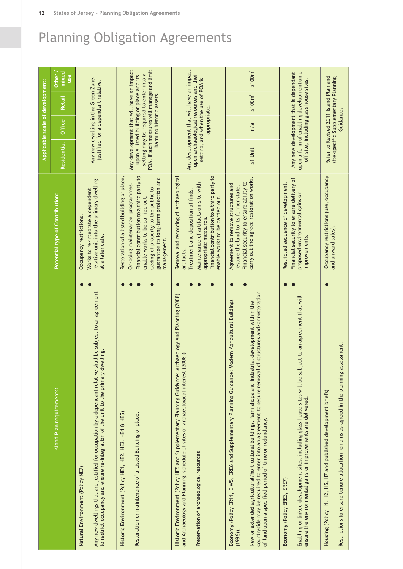|                                                                                                                                                                                                                                                                                                                                                                                                |                                                                                                                                                                                                                                                                 |                                                                                                                                                                               |              | Applicable scale of development:       |                              |  |
|------------------------------------------------------------------------------------------------------------------------------------------------------------------------------------------------------------------------------------------------------------------------------------------------------------------------------------------------------------------------------------------------|-----------------------------------------------------------------------------------------------------------------------------------------------------------------------------------------------------------------------------------------------------------------|-------------------------------------------------------------------------------------------------------------------------------------------------------------------------------|--------------|----------------------------------------|------------------------------|--|
| Island Plan requirements:                                                                                                                                                                                                                                                                                                                                                                      | Potential type of Contribution:                                                                                                                                                                                                                                 | <b>Residential</b>                                                                                                                                                            | Office       | <b>Retail</b>                          | mixed<br>Other<br><u>use</u> |  |
| Any new dwellings that are justified for occupation by a dependant relative shall be subject to an agreement<br>to restrict occupancy and ensure re-integration of the unit to the primary dwelling<br>Natural Environment (Policy NE7)                                                                                                                                                        | relative unit into the primary dwelling<br>Works to re-integrate a dependent<br>Occupancy restrictions.<br>at a later date.                                                                                                                                     | Any new dwelling in the Green Zone,                                                                                                                                           |              | justified for a dependant relative.    |                              |  |
| Historic Environment (Policy HE1, HE2, HE3, HE4 & HE5)<br>Restoration or maintenance of a Listed Building or place.                                                                                                                                                                                                                                                                            | Financial contribution to a third party to<br>Restoration of a listed building or place.<br>guarantee its long-term protection and<br>On-going maintenance programmes.<br>Ceding of property to the public to<br>enable works to be carried out.<br>management. | Any development that will have an impact<br>POA, if such measures will manage and limit<br>setting may be required to enter into a<br>upon a listed building or place and its |              | harm to historic assets.               |                              |  |
| Historic Environment (Policy HE5 and Supplementary Planning Guidance: Archaeology and Planning (2008)<br>and Archaeology and Planning: schedule of sites of archaeological interest (2008))<br>Preservation of archaeological resources                                                                                                                                                        | Financial contribution to a third party to<br>Removal and recording of archaeological<br>Maintenance of artifacts on-site with<br>Treatment and deposition of finds.<br>enable works to be carried out.<br>appropriate measures.<br>artifacts.                  | Any development that will have an impact<br>upon archaeological resources and their                                                                                           | appropriate. | setting, and when the use of POA is    |                              |  |
| countryside may be required to enter into an agreement to secure removal of structures and/or restoration<br>Economy (Policy ER11, EIW5, ERE6 and Supplementary Planning Guidance: Modern Agricultural Buildings<br>New or extended agricultural/horticultural buildings, farm shops and industrial development within the<br>of land upon a specified period of time or redundancy.<br>(1996) | carry out the agreed restoration works.<br>Financial security to ensure ability to<br>Agreement to remove structures and<br>restore the land to its former state.                                                                                               | $\geq 1$ Unit                                                                                                                                                                 | n/a          | $\geq 100 \text{m}^2$                  | $\geq 100$ m <sup>2</sup>    |  |
| Enabling or linked development sites, including glass house sites will be subject to an agreement that will<br>ensure the environmental gains or improvements are delivered.<br>Economy (Policy ERE3, ERE7)                                                                                                                                                                                    | Financial security to ensure delivery of<br>Restricted sequence of development.<br>proposed environmental gains or<br>improvements.                                                                                                                             | upon a form of enabling development on or<br>Any new development that is dependant                                                                                            |              | off site, including glass house sites. |                              |  |
| Restrictions to ensure tenure allocation remains as agreed in the planning assessment.<br>Housing (Policy H1, H2, H5, H7 and published development briefs)                                                                                                                                                                                                                                     | Occupancy restrictions (use, occupancy<br>and onward sales).                                                                                                                                                                                                    | Refer to Revised 2011 Island Plan and<br>site-specific Supplementary Planning                                                                                                 | Guidance.    |                                        |                              |  |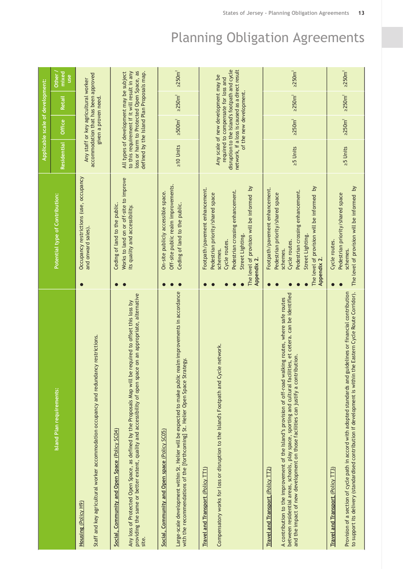|                                                                                                                                                                                                                                                                                                                                                              |                                                                                                                                                                                                                      |                                                                                                                                                                                  | Applicable scale of development: |                  |                       |  |
|--------------------------------------------------------------------------------------------------------------------------------------------------------------------------------------------------------------------------------------------------------------------------------------------------------------------------------------------------------------|----------------------------------------------------------------------------------------------------------------------------------------------------------------------------------------------------------------------|----------------------------------------------------------------------------------------------------------------------------------------------------------------------------------|----------------------------------|------------------|-----------------------|--|
| Island Plan requirements:                                                                                                                                                                                                                                                                                                                                    | Potential type of Contribution:                                                                                                                                                                                      | <b>Residential</b>                                                                                                                                                               | Office                           | Retail           | mixed<br>Other<br>use |  |
| Staff and key agricultural worker accommodation occupancy and redundancy restrictions.<br>Housing (Policy H9)                                                                                                                                                                                                                                                | Occupancy restrictions (use, occupancy<br>and onward sales).                                                                                                                                                         | accommodation that has been approved<br>Any staff or key agricultural worker                                                                                                     | given a proven need.             |                  |                       |  |
| on an appropriate, alternative<br>Any loss of Protected Open Space, as defined by the Proposals Map will be required to offset this loss by<br>providing the same or better extent, quality and accessibility of open space<br>Social, Community and Open Space (Policy SC04)<br>site.                                                                       | Works to land on or off-site to improve<br>Ceding of land to the public.<br>its quality and accessibility.                                                                                                           | loss or harm to Protected Open Space, as<br>to this requirement if it will result in any<br>defined by the Island Plan Proposals map.<br>All types of development may be subject |                                  |                  |                       |  |
| Large-scale development within St. Helier will be expected to make public realm improvements in accordance<br>with the recommendations of the [forthcoming] St. Helier Open Space Strategy.<br>Social, Community and Open space (Policy SC05)                                                                                                                | Off-site public realm improvements.<br>On-site publicly accessible space.<br>Ceding of land to the public.                                                                                                           | $\geq$ 10 Units                                                                                                                                                                  | $\geq 500 \text{m}^2$            | $\geq$ 250 $m^2$ | $\geq$ 250 $m2$       |  |
| Compensatory works for loss or disruption to the Island's Footpath and Cycle network.<br><b>Travel and Transport (Policy TT1)</b>                                                                                                                                                                                                                            | The level of provision will be informed by<br>Footpath/pavement enhancement.<br>Pedestrian crossing enhancement.<br>Pedestrian priority/shared space<br>Street Lighting.<br>Cycle routes.<br>schemes.<br>Appendix 2. | disruption to the Island's footpath and cycle<br>network, if a loss is caused as a direct result<br>Any scale of new development may be<br>required to compensate for loss and   | of the new development.          |                  |                       |  |
| between residential areas, schools, play space, sporting and cultural facilities, et cetera. can be identified<br>A contribution to the improvement of the Island's provision of off-road walking routes, where safe routes<br>and the impact of new development on those facilities can justify a contribution.<br><b>Travel and Transport (Policy TT2)</b> | The level of provision will be informed by<br>Footpath/pavement enhancement.<br>Pedestrian crossing enhancement.<br>Pedestrian priority/shared space<br>Street Lighting.<br>Cycle routes.<br>schemes.<br>Appendix 2. | $25$ Units                                                                                                                                                                       | $\geq$ 250 $m2$                  | $\geq$ 250 $m2$  | $\geq$ 250 $m2$       |  |
| Provision of a section of cycle path in accord with adopted standards and guidelines or financial contribution<br>to support its delivery (standardised contribution if development is within the Eastern Cycle Route Corridor).<br><b>Travel and Transport (Policy TT3)</b>                                                                                 | The level of provision will be informed by<br>Pedestrian priority/shared space<br>Cycle routes.<br>schemes.                                                                                                          | $25$ Units                                                                                                                                                                       | $\geq$ 250 $m^2$                 | $\geq$ 250 $m^2$ | $\geq$ 250 $m2$       |  |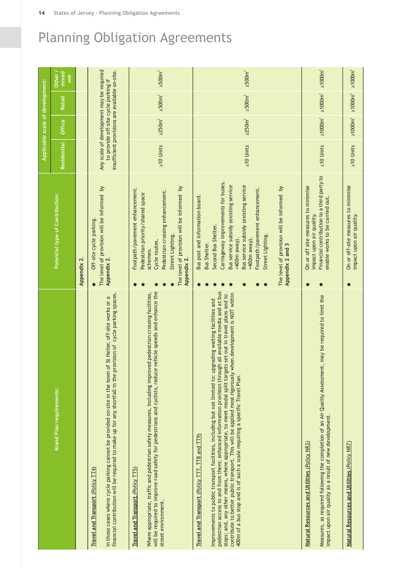|                                                                                                                                                                                                                                                                                                                                                                                                                                                                                                                                                                                       |                                                                                                                                                                                                                                                                                                                                                                  |                                                                                            | Applicable scale of development:     |                                                                                  |                            |
|---------------------------------------------------------------------------------------------------------------------------------------------------------------------------------------------------------------------------------------------------------------------------------------------------------------------------------------------------------------------------------------------------------------------------------------------------------------------------------------------------------------------------------------------------------------------------------------|------------------------------------------------------------------------------------------------------------------------------------------------------------------------------------------------------------------------------------------------------------------------------------------------------------------------------------------------------------------|--------------------------------------------------------------------------------------------|--------------------------------------|----------------------------------------------------------------------------------|----------------------------|
| Island Plan requirements:                                                                                                                                                                                                                                                                                                                                                                                                                                                                                                                                                             | Potential type of Contribution:                                                                                                                                                                                                                                                                                                                                  | <b>Residential</b>                                                                         | Office                               | Retail                                                                           | mixed<br>Other<br>use      |
|                                                                                                                                                                                                                                                                                                                                                                                                                                                                                                                                                                                       | Appendix 2.                                                                                                                                                                                                                                                                                                                                                      |                                                                                            |                                      |                                                                                  |                            |
| financial contribution will be required to make up for any shortfall in the provision of cycle parking spaces.<br>In those cases where cycle parking cannot be provided on-site in the town of St Helier, off-site works or a<br>Travel and Transport (Policy $\textsf{TT4})$                                                                                                                                                                                                                                                                                                         | The level of provision will be informed by<br>Off-site cycle parking<br>Appendix 2.                                                                                                                                                                                                                                                                              | Any scale of development may be required<br>insufficient provisions are available on-site. | to provide off-site cycle parking if |                                                                                  |                            |
| vehicle speeds and enhance the<br>Where appropriate, traffic and pedestrian safety measures, including improved pedestrian crossing facilities,<br>will be required to improve road safety for pedestrians and cyclists, reduce<br><b>Travel and Transport (Policy TT5)</b><br>street environment.                                                                                                                                                                                                                                                                                    | The level of provision will be informed by<br>Footpath/pavement enhancement.<br>Pedestrian crossing enhancement.<br>Pedestrian priority/shared space<br>Street Lighting.<br>Cycle routes.<br>schemes.<br>Appendix 2.                                                                                                                                             | $\geq$ 10 Units                                                                            | $\geq 250 m^2$                       | $\geq 500 \text{m}^2$                                                            | $\geq 500 \text{m}^2$      |
| pedestrian access to and from them; enhanced information provision through all available media and at bus<br>contribute to better public transport. This will be applied most rigorously when development is NOT within<br>stops; and, any other means, where appropriate, to meet modal split targets set out in travel plans and to<br>Improvements to public transport facilities, including but not limited to: upgrading waiting facilities and<br>400m of a bus stop and is of such a scale requiring a specific Travel Plan.<br>Travel and Transport (Policy TT7, TT8 and TT9) | Carriageway improvements for buses.<br>Bus service subsidy (existing service<br>Bus service subsidy (existing service<br>The level of provision will be informed by<br>Footpath/pavement enhancement.<br>Bus post and information board.<br>Second Bus Shelter.<br>Street Lighting.<br>$>400m$ away).<br><400m away).<br><b>Bus Shelter.</b><br>Appendix 2 and 3 | $\geq$ 10 Units                                                                            | $\geq$ 250 $m2$                      | $\geq 500 \text{m}^2$                                                            | $\geq 500 \text{m}^2$      |
| Measures, as required following the completion of an Air Quality Assessment, may be required to limit the<br>impact upon air quality as a result of new development.<br>Natural Resources and Utilities (Policy NR3)                                                                                                                                                                                                                                                                                                                                                                  | Financial contribution to a third party to<br>On or off site measures to minimise<br>enable works to be carried out.<br>impact upon air quality.                                                                                                                                                                                                                 | $\geq 10$ Units                                                                            | $\geq 1000$ m <sup>2</sup>           | $\geq 1000 \text{m}^2$                                                           | $\geq 1000$ m <sup>2</sup> |
| Natural Resources and Utilities (Policy NR7)                                                                                                                                                                                                                                                                                                                                                                                                                                                                                                                                          | On or off-site measures to minimise<br>impact upon air quality.                                                                                                                                                                                                                                                                                                  | $\geq$ 10 Units                                                                            |                                      | $\geq 1000$ m <sup>2</sup> $\geq 1000$ m <sup>2</sup> $\geq 1000$ m <sup>2</sup> |                            |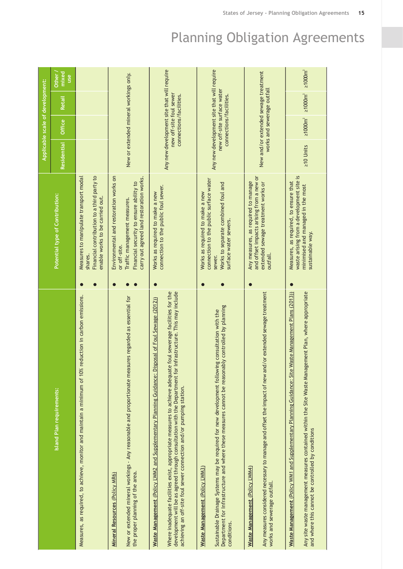|                                                                                                                                                                                                                                                                                                                                                                                                          |                                                                                                                                                                               |                                            | Applicable scale of development:                      |                                                                                  |                       |
|----------------------------------------------------------------------------------------------------------------------------------------------------------------------------------------------------------------------------------------------------------------------------------------------------------------------------------------------------------------------------------------------------------|-------------------------------------------------------------------------------------------------------------------------------------------------------------------------------|--------------------------------------------|-------------------------------------------------------|----------------------------------------------------------------------------------|-----------------------|
| Island Plan requirements:                                                                                                                                                                                                                                                                                                                                                                                | Potential type of Contribution:                                                                                                                                               | <b>Residential</b>                         | Office                                                | <b>Retail</b>                                                                    | mixed<br>Other<br>use |
| Measures, as required, to achieve, monitor and maintain a minimum of 10% reduction in carbon emissions.                                                                                                                                                                                                                                                                                                  | Financial contribution to a third party to<br>Measures to manipulate transport modal<br>enable works to be carried out.<br>shares.                                            |                                            |                                                       |                                                                                  |                       |
| New or extended mineral workings - Any reasonable and proportionate measures regarded as essential for<br>the proper planning of the area.<br>Mineral Resources (Policy MR6)                                                                                                                                                                                                                             | Environmental and restoration works on<br>carry out agreed land restoration works.<br>Financial security to ensure ability to<br>Traffic management measures.<br>or off-site. | New or extended mineral workings only.     |                                                       |                                                                                  |                       |
| development will be as agreed through consultation with the Department for Infrastructure. This may include<br>Where inadequate facilities exist, appropriate measures to achieve adequate foul sewerage facilities for the<br>Waste Management (Policy LWM2 and Supplementary Planning Guidance: Disposal of Foul Sewage (2012))<br>achieving an off-site foul sewer connection and/or pumping station. | connection to the public foul sewer.<br>Works as required to make a new                                                                                                       | Any new development site that will require | new off-site foul sewer<br>connections/facilities.    |                                                                                  |                       |
| Department for Infrastructure and where these measures cannot be reasonably controlled by planning<br>Sustainable Drainage Systems may be required for new development following consultation with the<br>Waste Management (Policy LWM3)<br>conditions.                                                                                                                                                  | connection to the public surface water<br>Works to separate combined foul and<br>Works as required to make a new<br>surface water sewers.<br>sewer.                           | Any new development site that will require | new off-site surface water<br>connections/facilities. |                                                                                  |                       |
| Any measures considered necessary to manage and offset the impact of new and/or extended sewage treatment<br>Waste Management (Policy LWM4)<br>works and sewerage outfall.                                                                                                                                                                                                                               | and offset impacts arising from a new or<br>Any measures, as required to manage<br>extended sewage treatment works or<br>outfall.                                             | New and/or extended sewage treatment       | works and sewerage outfall                            |                                                                                  |                       |
| Any site waste management measures contained within the Site Waste Management Plan, where appropriate<br>Waste Management Plans (2013))<br><b>Waste Management (Policy WM1 and Supplementary Planning Guidance: Site</b><br>and where this cannot be controlled by conditions                                                                                                                            | waste arising from a development site is<br>Measures, as required, to ensure that<br>minimised and managed in the most<br>sustainable way.                                    | $\geq$ 10 Units                            |                                                       | $\geq 1000$ m <sup>2</sup> $\geq 1000$ m <sup>2</sup> $\geq 1000$ m <sup>2</sup> |                       |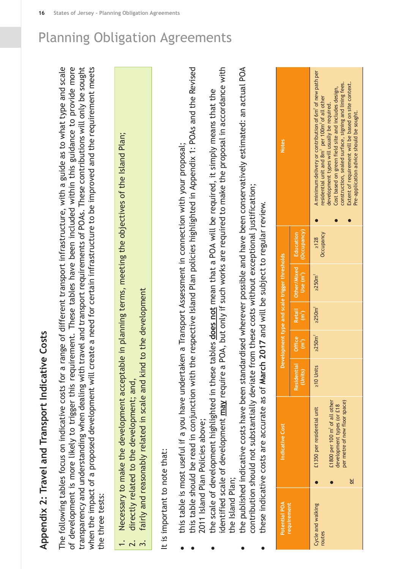# **Appendix 2: Travel and Transport Indicative Costs**

of development is more likely to trigger this requirement. These tables have been included within this guidance to provide more transparency and understanding when dealing with travel and transport requirements of POAs. These contributions will only be sought guide as to what type and scale of development is more likely to trigger this requirement. These tables have been included within this guidance to provide more transparency and understanding when dealing with travel and transport requirements of POAs. These contributions will only be sought need for certain infrastructure to be improved and the requirement meets ത range of different transport infrastructure, with a proposed development will create aThe following tables focus on indicative costs for awhen the impact of the three tests: the three tests:

- Necessary to make the development acceptable in planning terms, meeting the objectives of the Island Plan; 1. Necessary to make the development acceptable in planning terms, meeting the objectives of the Island Plan;  $\frac{1}{2}$   $\frac{1}{2}$   $\frac{1}{2}$ 
	- directly related to the development: and. 2. directly related to the development; and,
- fairly and reasonably related in scale and kind to the development 3. fairly and reasonably related in scale and kind to the development

<span id="page-17-0"></span>It is important to note that: It is important to note that:

- this table is most useful if a you have undertaken aTransport Assessment in connection with your proposal;
- Revised this table should be read in conjunction with the respective Island Plan policies highlighted in Appendix 1: POAs and the 2011 Island Plan Policies above; Policies above; 2011 Island Plan
	- identified scale of development **may** require a POA, but only if such works are required to make the proposal in accordance with POA, but only if such works are required to make the proposal in accordance with the scale of development highlighted in these tables does not mean that a POA will be required, it simply means that the POA will be required, it simply means that the the scale of development highlighted in these tables **does not** mean that identified scale of development **may** require the Island Plan; the Island Plan;
- the published indicative costs have been standardised wherever possible and have been conservatively estimated: an actual POA the published indicative costs have been standardised wherever possible and have been conservatively estimated: an actual POA contribution should not substantially deviate from these costs without exceptional justification; contribution should not substantially deviate from these costs without exceptional justification;
	- these indicative costs are accurate as of March 2017 and will be subject to regular review. these indicative costs are accurate as of **March 2017** and will be subject to regular review.

| <b>Notes</b>                                  |                                          | A minimum delivery or contribution of 6m <sup>2</sup> of new path per<br>Extent of requirement will be based on site context.<br>construction, sealed surface, signing and lining fees.<br>Cost based on green field site and includes design,<br>residential unit and 8m <sup>2</sup> per 100m <sup>2</sup> of all other<br>development types will usually be required.<br>Pre-application advice should be sought. |
|-----------------------------------------------|------------------------------------------|----------------------------------------------------------------------------------------------------------------------------------------------------------------------------------------------------------------------------------------------------------------------------------------------------------------------------------------------------------------------------------------------------------------------|
|                                               | $Use (m')$ $[$ $Occupancy)$<br>Education | Occupancy<br>$\geq 128$                                                                                                                                                                                                                                                                                                                                                                                              |
| Development type and scale trigger thresholds | Retail   Other/Mixed                     | $\geq$ 250 $m2$                                                                                                                                                                                                                                                                                                                                                                                                      |
|                                               | $\left(\mathbf{E}\right)^2$              | $\geq$ 250 $m2$                                                                                                                                                                                                                                                                                                                                                                                                      |
|                                               | Office<br>$\left(\mathbf{m}^2\right)$    | $\geq$ 250 $m2$                                                                                                                                                                                                                                                                                                                                                                                                      |
|                                               | Residential<br>(Units)                   | $210$ Units                                                                                                                                                                                                                                                                                                                                                                                                          |
| Indicative Cost                               |                                          | per metre of new floor space)<br>1800 per 100 m <sup>2</sup> of all other<br>development types (or £18<br>£1350 per residential unit<br>능                                                                                                                                                                                                                                                                            |
| Potential POA<br>requirement                  |                                          | <b>Cycle and walking</b><br>routes                                                                                                                                                                                                                                                                                                                                                                                   |

**16 States of Jersey - Planning Obligation Agreements**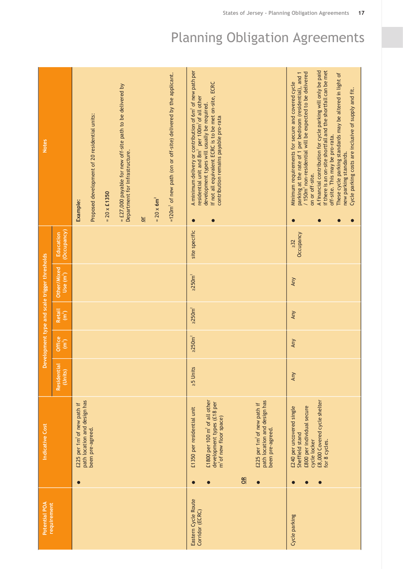| Potential POA                          | Indicative Cost                                                                                                            |                        |                                       |                                        | Development type and scale trigger thresholds |                          | <b>Notes</b>                                                                                                                                                                                              |
|----------------------------------------|----------------------------------------------------------------------------------------------------------------------------|------------------------|---------------------------------------|----------------------------------------|-----------------------------------------------|--------------------------|-----------------------------------------------------------------------------------------------------------------------------------------------------------------------------------------------------------|
| requirement                            |                                                                                                                            | Residential<br>(Units) | Office<br>$\overline{(\mathsf{m}^2)}$ | <b>Retail</b><br>$\left( m^{2}\right)$ | Other/Mixed<br>Use (m')                       | (Occupancy)<br>Education |                                                                                                                                                                                                           |
|                                        | path location and design has<br>£225 per 1m <sup>2</sup> of new path if<br>been pre-agreed.<br>$\bullet$                   |                        |                                       |                                        |                                               |                          | Proposed development of 20 residential units:<br>Example:                                                                                                                                                 |
|                                        |                                                                                                                            |                        |                                       |                                        |                                               |                          | $= 20 \times £1350$                                                                                                                                                                                       |
|                                        |                                                                                                                            |                        |                                       |                                        |                                               |                          | = £27,000 payable for new off-site path to be delivered by<br>Department for Infrastructure.                                                                                                              |
|                                        |                                                                                                                            |                        |                                       |                                        |                                               |                          | $\frac{1}{2}$                                                                                                                                                                                             |
|                                        |                                                                                                                            |                        |                                       |                                        |                                               |                          | $= 20 \times 6m^2$                                                                                                                                                                                        |
|                                        |                                                                                                                            |                        |                                       |                                        |                                               |                          | =120m <sup>2</sup> of new path (on or off-site) delivered by the applicant.                                                                                                                               |
| Eastern Cycle Route<br>Corridor (ECRC) | £1350 per residential unit<br>$\bullet$                                                                                    | $25$ Units             | $\geq$ $250m^2$                       | $\geq$ 250 $m2$                        | $\geq$ 250 $m2$                               | site specific            | A minimum delivery or contribution of 6m <sup>2</sup> of new path per<br>residential unit and 8m <sup>2</sup> per 100m <sup>2</sup> of all other<br>0                                                     |
|                                        | £1800 per 100 m <sup>2</sup> of all other<br>development types (£18 per<br>m <sup>2</sup> of new floor space)<br>$\bullet$ |                        |                                       |                                        |                                               |                          | If not all equivalent ECRC is to be met on-site, ECRC<br>development types will usually be required.<br>contribution remains payable pro-rata                                                             |
|                                        | $\frac{d}{dt}$                                                                                                             |                        |                                       |                                        |                                               |                          |                                                                                                                                                                                                           |
|                                        | path location and design has<br>£225 per 1m <sup>2</sup> of new path if<br>been pre-agreed.<br>$\bullet$                   |                        |                                       |                                        |                                               |                          |                                                                                                                                                                                                           |
|                                        |                                                                                                                            |                        |                                       |                                        |                                               |                          |                                                                                                                                                                                                           |
| Cycle parking                          | £800 per individual secure<br>£240 per uncovered single<br>Sheffield stand                                                 | Any                    | Any                                   | Any                                    | Any                                           | Occupancy<br>$\geq$ 32   | / 150m <sup>2</sup> non-residential will be expected to be delivered<br>parking at the rate of 1 per bedroom (residential), and 1<br>Minimum requirements for secure and covered cycle<br>on or off-site. |
|                                        | £8,000 Covered cycle shelter<br>cycle locker<br>for 8 cycles.                                                              |                        |                                       |                                        |                                               |                          | A financial contribution for cycle parking will only be paid<br>if there is an on-site shortfall and the shortfall can be met                                                                             |
|                                        |                                                                                                                            |                        |                                       |                                        |                                               |                          | These cycle parking standards may be altered in light of<br>off-site. This may be pro-rata.<br>new parking standards.                                                                                     |
|                                        |                                                                                                                            |                        |                                       |                                        |                                               |                          | Cycle parking costs are inclusive of supply and fit.                                                                                                                                                      |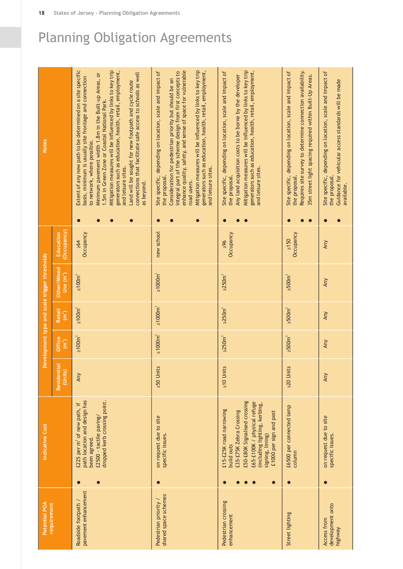| Potential POA<br>requirement                  |           | Indicative Cost                                                                                                                                                                                                 |                      |                             |                                          | Development type and scale trigger thresholds |                              |                        | <b>Notes</b>                                                                                                                                                                                                                                                                                                                                                                                                                                                                                                                                       |
|-----------------------------------------------|-----------|-----------------------------------------------------------------------------------------------------------------------------------------------------------------------------------------------------------------|----------------------|-----------------------------|------------------------------------------|-----------------------------------------------|------------------------------|------------------------|----------------------------------------------------------------------------------------------------------------------------------------------------------------------------------------------------------------------------------------------------------------------------------------------------------------------------------------------------------------------------------------------------------------------------------------------------------------------------------------------------------------------------------------------------|
|                                               |           |                                                                                                                                                                                                                 | Residenti<br>(Units) | Office<br>(m <sup>2</sup> ) | <b>Retail</b><br>$\widehat{\mathsf{Im}}$ | Other/Mixed<br>$Use (m^2)$                    | Occupancy)<br>Education      |                        |                                                                                                                                                                                                                                                                                                                                                                                                                                                                                                                                                    |
| pavement enhancement<br>Roadside footpath /   | $\bullet$ | path location and design has<br>dropped kerb crossing point.<br>£225 per m <sup>2</sup> of new path, if<br>£2500 - tactile paving/<br>been agreed.                                                              | Any                  | $\geq 100$ m <sup>2</sup>   | $\geq 100 \text{m}^2$                    | $\geq 100 \text{m}^2$                         | Occupancy<br>$\geq 64$       | $\bullet$<br>$\bullet$ | Extent of any new path to be determined on a site specific<br>Mitigation measures will be influenced by links to key trip<br>generators such as education, health, retail, employment,<br>connections that facilitate safe access to schools as well<br>Minimum pavement width 1.8m in the Built-up Areas, or<br>basis, minimum is usually site frontage and connection<br>Land will be sought for new footpath and cycle route<br>1.5m in Green Zone or Coastal National Park.<br>to network, where possible.<br>and leisure sites.<br>as beyond. |
| shared space schemes<br>Pedestrian priority / |           | on request due to site<br>specific issues.                                                                                                                                                                      | $250$ Units          | $\geq 1000$ m <sup>2</sup>  | $\geq 1000$ m <sup>2</sup>               | $\geq 1000$ m <sup>2</sup>                    | new school                   | $\bullet$<br>$\bullet$ | enhance quality, safety, and sense of space for vulnerable<br>Mitigation measures will be influenced by links to key trip<br>integral part of the scheme design from first concepts to<br>generators such as education, health, retail, employment,<br>Site specific, depending on location, scale and impact of<br>Consideration for pedestrian priority but should be an<br>and leisure sites.<br>the proposal.<br>road users.                                                                                                                   |
| Pedestrian crossing<br>enhancement            | $\bullet$ | £50-£80K Signalised crossing<br>£65-£100K / physical refuge<br>(including lighting, kerbing,<br>£15-£25K road narrowing<br>£35-£75K Zebra Crossing<br>£1000 per sign and post<br>signing, lining)<br>build outs | $\geq$ 10 Units      | $\geq$ $250m^2$             | $\geq$ $250m^2$                          | $\geq$ 250 $m2$                               | Occupancy<br>96 <sup>2</sup> | $\bullet$              | Mitigation measures will be influenced by links to key trip<br>generators such as education, health, retail, employment,<br>Site specific, depending on location, scale and impact of<br>Any land acquisition costs to be borne by the developer<br>and leisure sites.<br>the proposal.                                                                                                                                                                                                                                                            |
| Street lighting                               |           | £6500 per connected lamp<br>column                                                                                                                                                                              | $20$ Units           | $\geq 500$ m <sup>2</sup>   | $\geq 500 \text{m}^2$                    | $\geq 500$ m <sup>2</sup>                     | Occupancy<br>2150            |                        | Requires site survey to determine connection availability.<br>Site specific, depending on location, scale and impact of<br>35m street light spacing required within Built-Up Areas.<br>the proposal.                                                                                                                                                                                                                                                                                                                                               |
| development onto<br>Access from<br>highway    | $\bullet$ | on request due to site<br>specific issues.                                                                                                                                                                      | Any                  | Any                         | Any                                      | Any                                           | Any                          |                        | Site specific, depending on location, scale and impact of<br>Guidance for vehicular access standards will be made<br>the proposal.<br>available.                                                                                                                                                                                                                                                                                                                                                                                                   |

**18 States of Jersey - Planning Obligation Agreements**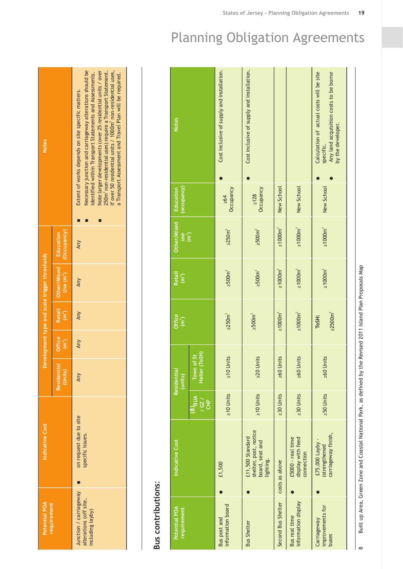| <b>Notes</b>                                  |                                                  | Necessary junction and carriageway alterations should be<br>Note larger developments (over 25 residential units / over<br>identified within Transport Statements and Assessments.<br>250m <sup>2</sup> non-residential uses) require a Transport Statement.<br>If over 50 residential units / 1000m <sup>2</sup> non-residential uses,<br>a Transport Assessment and Travel Plan will be required.<br>Extent of works depends on site specific matters. |
|-----------------------------------------------|--------------------------------------------------|---------------------------------------------------------------------------------------------------------------------------------------------------------------------------------------------------------------------------------------------------------------------------------------------------------------------------------------------------------------------------------------------------------------------------------------------------------|
|                                               |                                                  |                                                                                                                                                                                                                                                                                                                                                                                                                                                         |
|                                               | (Occupancy)<br>Education                         | Any                                                                                                                                                                                                                                                                                                                                                                                                                                                     |
| Development type and scale trigger thresholds | Other/Mixed<br>Use $(m2)$                        | Any                                                                                                                                                                                                                                                                                                                                                                                                                                                     |
|                                               | <b>Retail</b><br>$\left(\overline{m}^2\right)$   | <b>Any</b>                                                                                                                                                                                                                                                                                                                                                                                                                                              |
|                                               | <b>Office</b><br>$\left(\overline{m}^{2}\right)$ | Any                                                                                                                                                                                                                                                                                                                                                                                                                                                     |
|                                               | <b>Residential</b><br><b>(Units</b>              | <b>Any</b>                                                                                                                                                                                                                                                                                                                                                                                                                                              |
| Indicative Cost                               |                                                  | on request due to site<br>specific issues.                                                                                                                                                                                                                                                                                                                                                                                                              |
| Potential POA<br>requirement                  |                                                  | Junction / carriageway<br>alterations (off site,<br>including layby)                                                                                                                                                                                                                                                                                                                                                                                    |

## Bus contributions: **Bus contributions**:

|                                                                           | Indicative Cost | <b>AUBION</b>                  | Residential<br>(units)                  | Office<br>(m <sup>2</sup> ) | Retail<br>(m <sup>2</sup> ) | Other/Mixed<br>use <sub>1</sub> | (occupancy)<br>Education | <b>Notes</b>                                                                                                         |
|---------------------------------------------------------------------------|-----------------|--------------------------------|-----------------------------------------|-----------------------------|-----------------------------|---------------------------------|--------------------------|----------------------------------------------------------------------------------------------------------------------|
|                                                                           |                 | $\frac{1}{2}$<br>$\frac{P}{C}$ | Town of St<br>Helier (ToSH)<br>Helier ( |                             |                             |                                 |                          |                                                                                                                      |
| £1,500                                                                    |                 | $\geq$ 10 Units                | $\geq$ 10 Units                         | $\geq$ $250m^2$             | $\geq 500$ m <sup>2</sup>   | $\geq$ 250 $m^2$                | Occupancy<br>$\geq 64$   | Cost inclusive of supply and installation.                                                                           |
| shelter, post, notice<br>£11,500 Standard<br>board, seat and<br>lighting. |                 | $\geq$ 10 Units                | $20$ Units                              | $\geq 500$ m <sup>2</sup>   | $\geq 500$ m <sup>2</sup>   | $\geq 500 \text{m}^2$           | Occupancy<br>$\geq 128$  | Cost inclusive of supply and installation.                                                                           |
| costs as above                                                            |                 | <b>230 Units</b>               | $260$ Units                             | $\geq 1000$ m <sup>2</sup>  | $\geq 1000$ m <sup>2</sup>  | $\geq 1000$ m <sup>2</sup>      | New School               |                                                                                                                      |
| £5000 - real time<br>display with feed<br>connection                      |                 | $230$ Units                    | $260$ Units                             | $\geq 1000$ m <sup>2</sup>  | $\geq 1000$ m <sup>2</sup>  | $\geq 1000$ m <sup>2</sup>      | New School               |                                                                                                                      |
| carriageway finish,<br>£75,000 Layby -<br>(strengthened                   |                 | $250$ Units                    | $260$ Units                             | $\geq$ 2500 $m2$<br>ToSH:   | $\geq 1000 \text{m}^2$      | $\geq 1000$ m <sup>2</sup>      | New School               | Calculation of actual costs will be site<br>Any land acquisition costs to be borne<br>by the developer.<br>specific. |

 $\infty$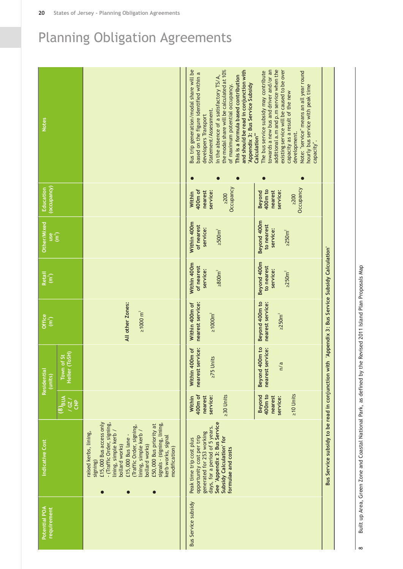| <b>Notes</b>                       |                                   |                                                                                                                                                                                                                                                                                                                                                       | Bus trip generation/modal share will be<br>the modal share will be calculated at 10%<br>and should be read in conjunction with<br>based on the figure identified within a<br>This is a formula based contribution<br>In the absence of a satisfactory TS/A,<br>Appendix 3: Bus Service Subsidy<br>of maximum potential occupancy.<br>Statement/Assessment.<br>developers Transport | towards a new bus and driver and/or an<br>additional a.m and p.m service when the<br>existing service will be caused to be over<br>The bus service subsidy may contribute<br>Note: "service" means an all year round<br>hourly bus service with peak time<br>capacity as a result of the new<br>development.<br>Calculation"<br>capacity". |                                                                                                  |
|------------------------------------|-----------------------------------|-------------------------------------------------------------------------------------------------------------------------------------------------------------------------------------------------------------------------------------------------------------------------------------------------------------------------------------------------------|------------------------------------------------------------------------------------------------------------------------------------------------------------------------------------------------------------------------------------------------------------------------------------------------------------------------------------------------------------------------------------|--------------------------------------------------------------------------------------------------------------------------------------------------------------------------------------------------------------------------------------------------------------------------------------------------------------------------------------------|--------------------------------------------------------------------------------------------------|
| (occupancy)<br>Education           |                                   |                                                                                                                                                                                                                                                                                                                                                       | Occupancy<br>400m of<br>service:<br>nearest<br>Within<br>$\geq$ 200                                                                                                                                                                                                                                                                                                                | Occupancy<br>400m to<br>service:<br>nearest<br><b>Beyond</b><br>$\geq$ 200                                                                                                                                                                                                                                                                 |                                                                                                  |
| Other/Mixed<br>$\frac{1}{2}$       |                                   |                                                                                                                                                                                                                                                                                                                                                       | Within 400m<br>of nearest<br>service:<br>$\geq 500 \text{m}^2$                                                                                                                                                                                                                                                                                                                     | Beyond 400m<br>to nearest<br>service:<br>$\geq$ $250m^2$                                                                                                                                                                                                                                                                                   |                                                                                                  |
| <b>Retail</b><br>(m <sup>2</sup> ) |                                   |                                                                                                                                                                                                                                                                                                                                                       | Within 400m<br>of nearest<br>service:<br>$\geq 800 \text{m}^2$                                                                                                                                                                                                                                                                                                                     | Beyond 400m<br>to nearest<br>service:<br>$\geq$ $250m2$                                                                                                                                                                                                                                                                                    |                                                                                                  |
| Office<br>(m <sup>2</sup> )        |                                   | All other Zones:<br>$\geq 1000 \text{ m}^2$                                                                                                                                                                                                                                                                                                           | nearest service:<br>Within 400m of<br>$\geq 1000$ m <sup>2</sup>                                                                                                                                                                                                                                                                                                                   | Beyond 400m to<br>nearest service:<br>$\geq$ 250 $m2$                                                                                                                                                                                                                                                                                      |                                                                                                  |
| Residential<br>(units)             | (ToSH)<br>Town of St<br>Helier    |                                                                                                                                                                                                                                                                                                                                                       | service:<br>Within 400m of<br>$275$ Units<br>nearest                                                                                                                                                                                                                                                                                                                               | 400m to<br>service:<br>n/a<br><b>Beyond</b><br>nearest                                                                                                                                                                                                                                                                                     |                                                                                                  |
|                                    | $(8)$ BUA<br>167<br>$\frac{P}{C}$ |                                                                                                                                                                                                                                                                                                                                                       | 400m of<br>$230$ Units<br>service:<br>nearest<br>Within                                                                                                                                                                                                                                                                                                                            | $\geq$ 10 Units<br>400m to<br><b>Beyond</b><br>nearest<br>service:                                                                                                                                                                                                                                                                         |                                                                                                  |
| Indicative Cost                    |                                   | £15,000 Bus access only<br>- (Traffic Order, signing,<br>signals - (signing, lining,<br>£50,000 Bus priority at<br>(Traffic Order, signing,<br>lining, simple kerb /<br>lining, simple kerb /<br>raised kerbs, lining,<br>kerb works, signal<br>£15,000 Bus lane -<br>bollard works)<br>bollard works)<br>modification)<br>signing)<br>$\bullet$<br>0 | See 'Appendix 3: Bus Service<br>days, for a period of 5 years.<br>generated for 253 working<br>opportunity cost per trip<br>Subsidy Calculation' for<br>Peak time trip cost plus<br>formulae and costs                                                                                                                                                                             |                                                                                                                                                                                                                                                                                                                                            | Bus Service subsidy to be read in conjunction with 'Appendix 3: Bus Service Subsidy Calculation' |
| Potential POA<br>requirement       |                                   |                                                                                                                                                                                                                                                                                                                                                       | <b>Bus Service subsidy</b>                                                                                                                                                                                                                                                                                                                                                         |                                                                                                                                                                                                                                                                                                                                            |                                                                                                  |

Built up Area, Green Zone and Coastal National Park, as defined by the Revised 2011 Island Plan Proposals Map Built up Area, Green Zone and Coastal National Park, as defined by the Revised 2011 Island Plan Proposals Map  $\infty$